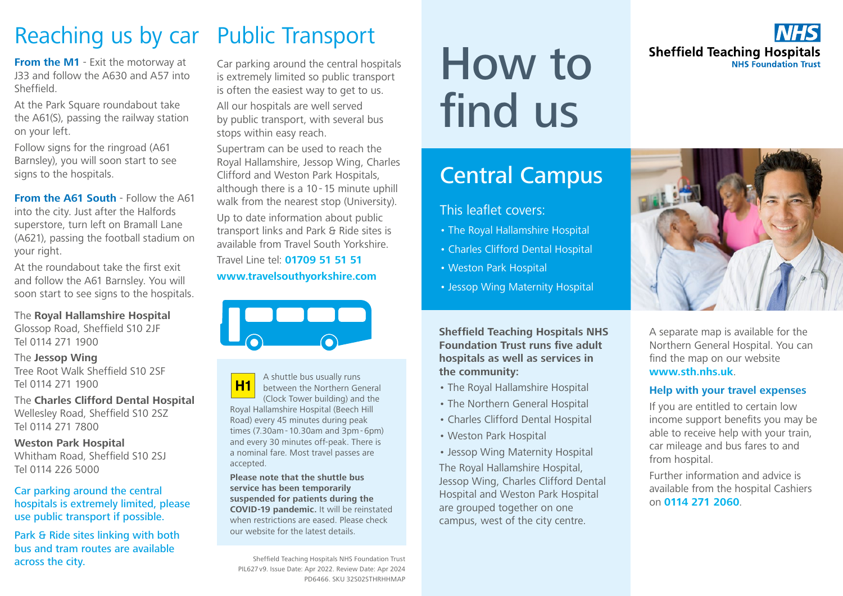## Reaching us by car

**From the M1** - Exit the motorway at J33 and follow the A630 and A57 into Sheffield.

At the Park Square roundabout take the A61(S), passing the railway station on your left.

Follow signs for the ringroad (A61 Barnsley), you will soon start to see signs to the hospitals.

**From the A61 South** - Follow the A61 into the city. Just after the Halfords superstore, turn left on Bramall Lane (A621), passing the football stadium on your right.

At the roundabout take the first exit and follow the A61 Barnsley. You will soon start to see signs to the hospitals.

The **Royal Hallamshire Hospital** Glossop Road, Sheffield S10 2JF Tel 0114 271 1900

The **Jessop Wing** Tree Root Walk Sheffield S10 2SF Tel 0114 271 1900

The **Charles Clifford Dental Hospital** Wellesley Road, Sheffield S10 2SZ Tel 0114 271 7800

**Weston Park Hospital** Whitham Road, Sheffield S10 2SJ Tel 0114 226 5000

Car parking around the central hospitals is extremely limited, please use public transport if possible.

Park & Ride sites linking with both bus and tram routes are available across the city.

## Public Transport

Car parking around the central hospitals is extremely limited so public transport is often the easiest way to get to us.

All our hospitals are well served by public transport, with several bus stops within easy reach.

Supertram can be used to reach the Royal Hallamshire, Jessop Wing, Charles Clifford and Weston Park Hospitals, although there is a 10-15 minute uphill walk from the nearest stop (University). Up to date information about public transport links and Park & Ride sites is available from Travel South Yorkshire.

Travel Line tel: **01709 51 51 51 www.travelsouthyorkshire.com**



A shuttle bus usually runs **H1** between the Northern General (Clock Tower building) and the Royal Hallamshire Hospital (Beech Hill Road) every 45 minutes during peak times (7.30am-10.30am and 3pm-6pm) and every 30 minutes off-peak. There is a nominal fare. Most travel passes are accepted.

**Please note that the shuttle bus service has been temporarily suspended for patients during the COVID-19 pandemic.** It will be reinstated when restrictions are eased. Please check our website for the latest details.

Sheffield Teaching Hospitals NHS Foundation Trust PIL627v9. Issue Date: Apr 2022. Review Date: Apr 2024 PD6466. SKU 32S02STHRHHMAP

# How to find us

## Central Campus

### This leaflet covers:

- The Royal Hallamshire Hospital
- Charles Clifford Dental Hospital
- Weston Park Hospital
- Jessop Wing Maternity Hospital

**Sheffield Teaching Hospitals NHS Foundation Trust runs five adult hospitals as well as services in the community:**

- The Royal Hallamshire Hospital
- The Northern General Hospital
- Charles Clifford Dental Hospital
- Weston Park Hospital
- Jessop Wing Maternity Hospital

The Royal Hallamshire Hospital, Jessop Wing, Charles Clifford Dental Hospital and Weston Park Hospital are grouped together on one campus, west of the city centre.

**Sheffield Teaching Hospitals NHS Foundation Trust** 



A separate map is available for the Northern General Hospital. You can find the map on our website **www.sth.nhs.uk**.

#### **Help with your travel expenses**

If you are entitled to certain low income support benefits you may be able to receive help with your train, car mileage and bus fares to and from hospital.

Further information and advice is available from the hospital Cashiers on **0114 271 2060**.